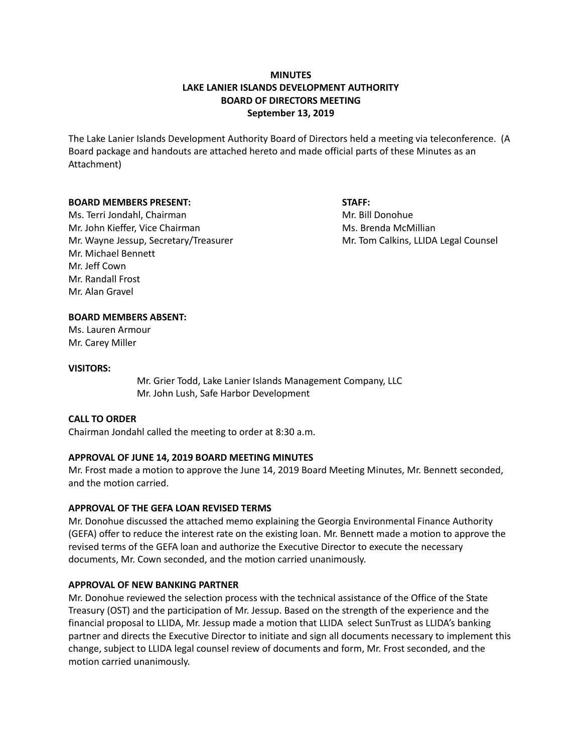# **MINUTES LAKE LANIER ISLANDS DEVELOPMENT AUTHORITY BOARD OF DIRECTORS MEETING September 13, 2019**

The Lake Lanier Islands Development Authority Board of Directors held a meeting via teleconference. (A Board package and handouts are attached hereto and made official parts of these Minutes as an Attachment)

#### **BOARD MEMBERS PRESENT: STAFF:**

Ms. Terri Jondahl, Chairman Microsoft Chairman Mr. Bill Donohue Mr. John Kieffer, Vice Chairman Ms. Brenda McMillian Ms. Brenda McMillian Mr. Wayne Jessup, Secretary/Treasurer Mr. Tom Calkins, LLIDA Legal Counsel Mr. Michael Bennett Mr. Jeff Cown Mr. Randall Frost Mr. Alan Gravel

## **BOARD MEMBERS ABSENT:**

Ms. Lauren Armour Mr. Carey Miller

#### **VISITORS:**

Mr. Grier Todd, Lake Lanier Islands Management Company, LLC Mr. John Lush, Safe Harbor Development

## **CALL TO ORDER**

Chairman Jondahl called the meeting to order at 8:30 a.m.

## **APPROVAL OF JUNE 14, 2019 BOARD MEETING MINUTES**

Mr. Frost made a motion to approve the June 14, 2019 Board Meeting Minutes, Mr. Bennett seconded, and the motion carried.

## **APPROVAL OF THE GEFA LOAN REVISED TERMS**

Mr. Donohue discussed the attached memo explaining the Georgia Environmental Finance Authority (GEFA) offer to reduce the interest rate on the existing loan. Mr. Bennett made a motion to approve the revised terms of the GEFA loan and authorize the Executive Director to execute the necessary documents, Mr. Cown seconded, and the motion carried unanimously.

## **APPROVAL OF NEW BANKING PARTNER**

Mr. Donohue reviewed the selection process with the technical assistance of the Office of the State Treasury (OST) and the participation of Mr. Jessup. Based on the strength of the experience and the financial proposal to LLIDA, Mr. Jessup made a motion that LLIDA select SunTrust as LLIDA's banking partner and directs the Executive Director to initiate and sign all documents necessary to implement this change, subject to LLIDA legal counsel review of documents and form, Mr. Frost seconded, and the motion carried unanimously.